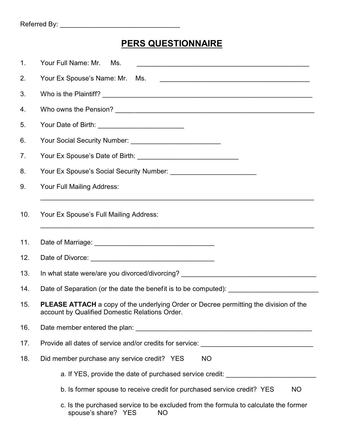## **PERS QUESTIONNAIRE**

| 1.  | Your Full Name: Mr.<br>Ms.                                                                                                              |  |  |
|-----|-----------------------------------------------------------------------------------------------------------------------------------------|--|--|
| 2.  | Your Ex Spouse's Name: Mr. Ms.                                                                                                          |  |  |
| 3.  |                                                                                                                                         |  |  |
| 4.  |                                                                                                                                         |  |  |
| 5.  |                                                                                                                                         |  |  |
| 6.  |                                                                                                                                         |  |  |
| 7.  |                                                                                                                                         |  |  |
| 8.  |                                                                                                                                         |  |  |
| 9.  | Your Full Mailing Address:                                                                                                              |  |  |
| 10. | Your Ex Spouse's Full Mailing Address:<br><u> 1990 - Johann Barbert, fransk politik (f. 1980)</u>                                       |  |  |
| 11. |                                                                                                                                         |  |  |
| 12. |                                                                                                                                         |  |  |
| 13. | In what state were/are you divorced/divorcing? _________________________________                                                        |  |  |
| 14. | Date of Separation (or the date the benefit is to be computed): [2001]                                                                  |  |  |
| 15. | PLEASE ATTACH a copy of the underlying Order or Decree permitting the division of the<br>account by Qualified Domestic Relations Order. |  |  |
| 16. |                                                                                                                                         |  |  |
| 17. | Provide all dates of service and/or credits for service: ________________________                                                       |  |  |
| 18. | Did member purchase any service credit? YES<br><b>NO</b>                                                                                |  |  |
|     | a. If YES, provide the date of purchased service credit:                                                                                |  |  |
|     | b. Is former spouse to receive credit for purchased service credit? YES<br>NO.                                                          |  |  |
|     | c. Is the purchased service to be excluded from the formula to calculate the former<br>spouse's share? YES<br><b>NO</b>                 |  |  |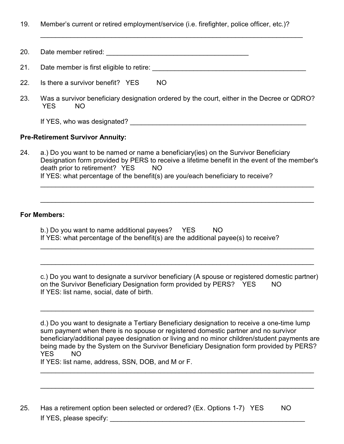19. Member's current or retired employment/service (i.e. firefighter, police officer, etc.)?

| 20. | Date member retired:                     |     |
|-----|------------------------------------------|-----|
| 21. | Date member is first eligible to retire: |     |
| 22. | Is there a survivor benefit? YES         | NO. |

\_\_\_\_\_\_\_\_\_\_\_\_\_\_\_\_\_\_\_\_\_\_\_\_\_\_\_\_\_\_\_\_\_\_\_\_\_\_\_\_\_\_\_\_\_\_\_\_\_\_\_\_\_\_\_\_\_\_\_\_\_\_\_\_\_\_\_\_\_\_

23. Was a survivor beneficiary designation ordered by the court, either in the Decree or QDRO? YES NO

If YES, who was designated? \_\_\_\_\_\_\_\_\_\_\_\_\_\_\_\_\_\_\_\_\_\_\_\_\_\_\_\_\_\_\_\_\_\_\_\_\_\_\_\_\_\_\_\_\_\_\_

## **Pre-Retirement Survivor Annuity:**

24. a.) Do you want to be named or name a beneficiary(ies) on the Survivor Beneficiary Designation form provided by PERS to receive a lifetime benefit in the event of the member's death prior to retirement? YES NO If YES: what percentage of the benefit(s) are you/each beneficiary to receive?

\_\_\_\_\_\_\_\_\_\_\_\_\_\_\_\_\_\_\_\_\_\_\_\_\_\_\_\_\_\_\_\_\_\_\_\_\_\_\_\_\_\_\_\_\_\_\_\_\_\_\_\_\_\_\_\_\_\_\_\_\_\_\_\_\_\_\_\_\_\_\_\_\_

\_\_\_\_\_\_\_\_\_\_\_\_\_\_\_\_\_\_\_\_\_\_\_\_\_\_\_\_\_\_\_\_\_\_\_\_\_\_\_\_\_\_\_\_\_\_\_\_\_\_\_\_\_\_\_\_\_\_\_\_\_\_\_\_\_\_\_\_\_\_\_\_\_

\_\_\_\_\_\_\_\_\_\_\_\_\_\_\_\_\_\_\_\_\_\_\_\_\_\_\_\_\_\_\_\_\_\_\_\_\_\_\_\_\_\_\_\_\_\_\_\_\_\_\_\_\_\_\_\_\_\_\_\_\_\_\_\_\_\_\_\_\_\_\_\_\_

\_\_\_\_\_\_\_\_\_\_\_\_\_\_\_\_\_\_\_\_\_\_\_\_\_\_\_\_\_\_\_\_\_\_\_\_\_\_\_\_\_\_\_\_\_\_\_\_\_\_\_\_\_\_\_\_\_\_\_\_\_\_\_\_\_\_\_\_\_\_\_\_\_

## **For Members:**

| b.) Do you want to name additional payees?                                        | YES | NO. |  |
|-----------------------------------------------------------------------------------|-----|-----|--|
| If YES: what percentage of the benefit(s) are the additional payee(s) to receive? |     |     |  |

c.) Do you want to designate a survivor beneficiary (A spouse or registered domestic partner) on the Survivor Beneficiary Designation form provided by PERS? YES NO If YES: list name, social, date of birth.

\_\_\_\_\_\_\_\_\_\_\_\_\_\_\_\_\_\_\_\_\_\_\_\_\_\_\_\_\_\_\_\_\_\_\_\_\_\_\_\_\_\_\_\_\_\_\_\_\_\_\_\_\_\_\_\_\_\_\_\_\_\_\_\_\_\_\_\_\_\_\_\_\_

d.) Do you want to designate a Tertiary Beneficiary designation to receive a one-time lump sum payment when there is no spouse or registered domestic partner and no survivor beneficiary/additional payee designation or living and no minor children/student payments are being made by the System on the Survivor Beneficiary Designation form provided by PERS? YES NO

 $\mathcal{L}_\text{G}$  , and the contribution of the contribution of the contribution of the contribution of the contribution of the contribution of the contribution of the contribution of the contribution of the contribution of t

\_\_\_\_\_\_\_\_\_\_\_\_\_\_\_\_\_\_\_\_\_\_\_\_\_\_\_\_\_\_\_\_\_\_\_\_\_\_\_\_\_\_\_\_\_\_\_\_\_\_\_\_\_\_\_\_\_\_\_\_\_\_\_\_\_\_\_\_\_\_\_\_\_

If YES: list name, address, SSN, DOB, and M or F.

25. Has a retirement option been selected or ordered? (Ex. Options 1-7) YES NO If YES, please specify: